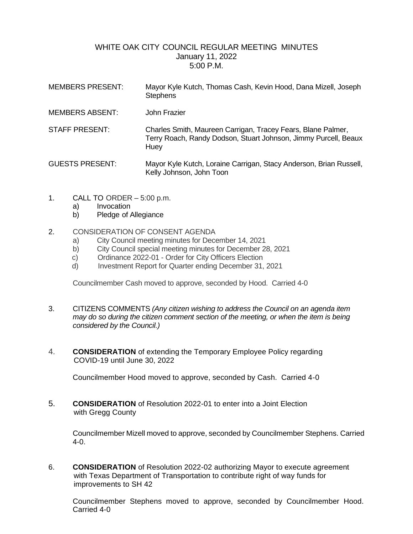## WHITE OAK CITY COUNCIL REGULAR MEETING MINUTES January 11, 2022 5:00 P.M.

| <b>MEMBERS PRESENT:</b> | Mayor Kyle Kutch, Thomas Cash, Kevin Hood, Dana Mizell, Joseph<br><b>Stephens</b>                                                       |
|-------------------------|-----------------------------------------------------------------------------------------------------------------------------------------|
| <b>MEMBERS ABSENT:</b>  | John Frazier                                                                                                                            |
| <b>STAFF PRESENT:</b>   | Charles Smith, Maureen Carrigan, Tracey Fears, Blane Palmer,<br>Terry Roach, Randy Dodson, Stuart Johnson, Jimmy Purcell, Beaux<br>Huey |
| <b>GUESTS PRESENT:</b>  | Mayor Kyle Kutch, Loraine Carrigan, Stacy Anderson, Brian Russell,<br>Kelly Johnson, John Toon                                          |

- 1. CALL TO ORDER 5:00 p.m.
	- a) Invocation
	- b) Pledge of Allegiance

## 2. CONSIDERATION OF CONSENT AGENDA

- a) City Council meeting minutes for December 14, 2021
- b) City Council special meeting minutes for December 28, 2021
- c) Ordinance 2022-01 Order for City Officers Election
- d) Investment Report for Quarter ending December 31, 2021

Councilmember Cash moved to approve, seconded by Hood. Carried 4-0

- 3. CITIZENS COMMENTS *(Any citizen wishing to address the Council on an agenda item may do so during the citizen comment section of the meeting, or when the item is being considered by the Council.)*
- 4. **CONSIDERATION** of extending the Temporary Employee Policy regarding COVID-19 until June 30, 2022

Councilmember Hood moved to approve, seconded by Cash. Carried 4-0

5. **CONSIDERATION** of Resolution 2022-01 to enter into a Joint Election with Gregg County

Councilmember Mizell moved to approve, seconded by Councilmember Stephens. Carried 4-0.

6. **CONSIDERATION** of Resolution 2022-02 authorizing Mayor to execute agreement with Texas Department of Transportation to contribute right of way funds for improvements to SH 42

Councilmember Stephens moved to approve, seconded by Councilmember Hood. Carried 4-0